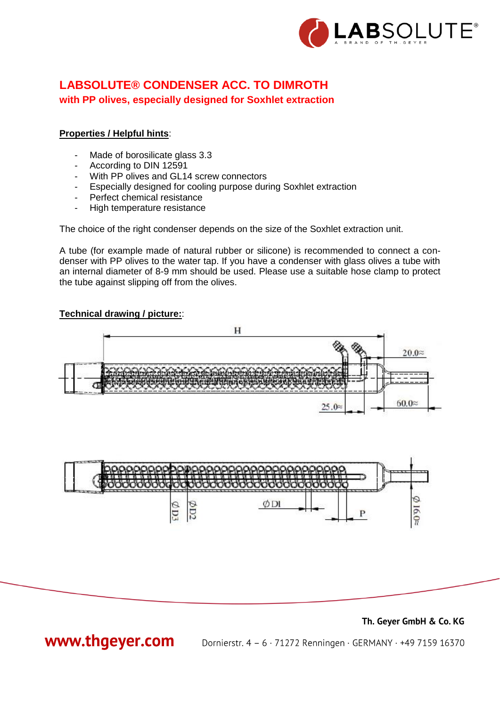

# **LABSOLUTE® CONDENSER ACC. TO DIMROTH with PP olives, especially designed for Soxhlet extraction**

### **Properties / Helpful hints**:

- Made of borosilicate glass 3.3
- According to DIN 12591
- With PP olives and GL14 screw connectors
- Especially designed for cooling purpose during Soxhlet extraction
- Perfect chemical resistance
- High temperature resistance

The choice of the right condenser depends on the size of the Soxhlet extraction unit.

A tube (for example made of natural rubber or silicone) is recommended to connect a condenser with PP olives to the water tap. If you have a condenser with glass olives a tube with an internal diameter of 8-9 mm should be used. Please use a suitable hose clamp to protect the tube against slipping off from the olives.

### **Technical drawing / picture:**:







www.thgeyer.com

Dornierstr. 4 - 6 · 71272 Renningen · GERMANY · +49 7159 16370